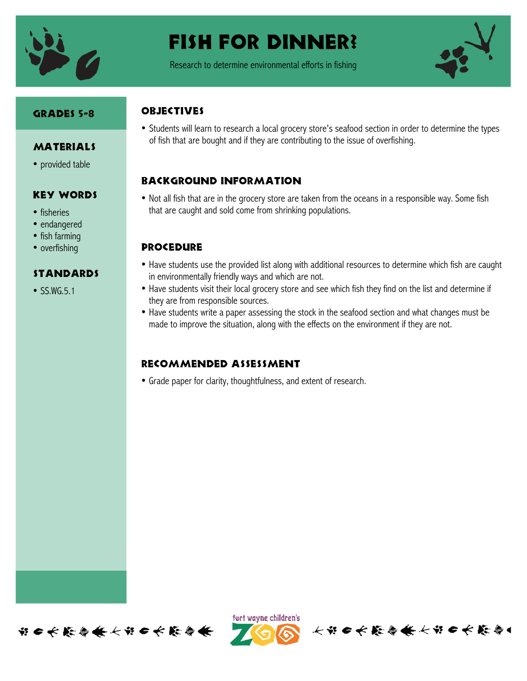

# Fish for Dinner?

Research to determine environmental efforts in fishing



### Grades 5-8

**MATERIALS** 

• provided table

Key Words

standards

 $\bullet$  SS.WG.5.1

• fisheries • endangered • fish farming • overfishing

### **OBJECTIVES**

• Students will learn to research a local grocery store's seafood section in order to determine the types of fish that are bought and if they are contributing to the issue of overfishing.

## Background information

• Not all fish that are in the grocery store are taken from the oceans in a responsible way. Some fish that are caught and sold come from shrinking populations.

## **PROCEDURE**

- Have students use the provided list along with additional resources to determine which fish are caught in environmentally friendly ways and which are not.
- Have students visit their local grocery store and see which fish they find on the list and determine if they are from responsible sources.
- Have students write a paper assessing the stock in the seafood section and what changes must be made to improve the situation, along with the effects on the environment if they are not.

## Recommended assessment

• Grade paper for clarity, thoughtfulness, and extent of research.





长节日长能与长长节日长能与1